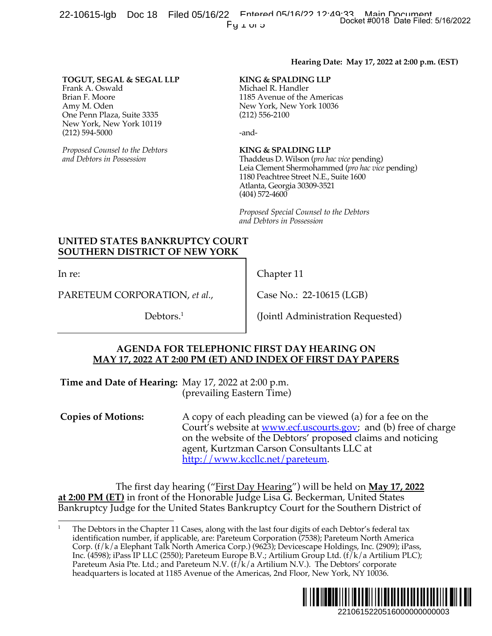22-10615-lgb Doc 18 Filed 05/16/22 Entered 05/16/22 Docket #0018 Date Filed: 5/16/2022 Pu Lui 5

#### **Hearing Date: May 17, 2022 at 2:00 p.m. (EST)**

#### **TOGUT, SEGAL & SEGAL LLP** Frank A. Oswald Brian F. Moore Amy M. Oden One Penn Plaza, Suite 3335 New York, New York 10119 (212) 594-5000

*Proposed Counsel to the Debtors and Debtors in Possession*

#### **KING & SPALDING LLP**

Michael R. Handler 1185 Avenue of the Americas New York, New York 10036 (212) 556-2100

-and-

#### **KING & SPALDING LLP**

Chapter 11

Thaddeus D. Wilson (*pro hac vice* pending) Leia Clement Shermohammed (*pro hac vice* pending) 1180 Peachtree Street N.E., Suite 1600 Atlanta, Georgia 30309-3521 (404) 572-4600

*Proposed Special Counsel to the Debtors and Debtors in Possession*

#### **UNITED STATES BANKRUPTCY COURT SOUTHERN DISTRICT OF NEW YORK**

In re:

PARETEUM CORPORATION, *et al.*,

Debtors.<sup>1</sup>

(Jointl Administration Requested)

Case No.: 22-10615 (LGB)

#### **AGENDA FOR TELEPHONIC FIRST DAY HEARING ON MAY 17, 2022 AT 2:00 PM (ET) AND INDEX OF FIRST DAY PAPERS**

**Time and Date of Hearing:** May 17, 2022 at 2:00 p.m. (prevailing Eastern Time)

**Copies of Motions:** A copy of each pleading can be viewed (a) for a fee on the Court's website at <u>www.ecf.uscourts.gov</u>; and (b) free of charge on the website of the Debtors' proposed claims and noticing agent, Kurtzman Carson Consultants LLC at http://www.kccllc.net/pareteum. Docket #0018 Date Filed: 5/16/2022<br>
2: May 17, 2022 at 2:00 p.m. (EST)<br>
2: May 17, 2022 at 2:00 p.m. (EST)<br>
3<br>
3<br>
2: Were pending)<br>
2: Comparison (EST)<br>
2: Deproper and (b) free of charge<br>
2: Deproper and (b) free of charg

The first day hearing ("First Day Hearing") will be held on **May 17, 2022 at 2:00 PM (ET)** in front of the Honorable Judge Lisa G. Beckerman, United States Bankruptcy Judge for the United States Bankruptcy Court for the Southern District of

<sup>1</sup> The Debtors in the Chapter 11 Cases, along with the last four digits of each Debtor's federal tax identification number, if applicable, are: Pareteum Corporation (7538); Pareteum North America Corp. (f/k/a Elephant Talk North America Corp.) (9623); Devicescape Holdings, Inc. (2909); iPass, Inc. (4598); iPass IP LLC (2550); Pareteum Europe B.V.; Artilium Group Ltd. (f/k/a Artilium PLC); Pareteum Asia Pte. Ltd.; and Pareteum N.V. ( $f/k/a$  Artilium N.V.). The Debtors' corporate headquarters is located at 1185 Avenue of the Americas, 2nd Floor, New York, NY 10036.

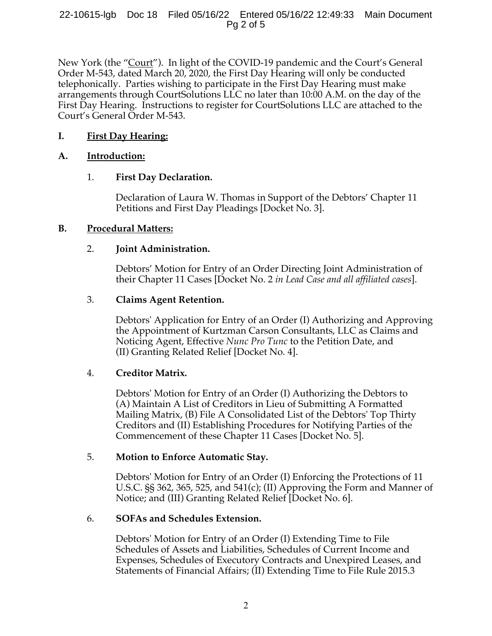### 22-10615-lgb Doc 18 Filed 05/16/22 Entered 05/16/22 12:49:33 Main Document Pg 2 of 5

New York (the "Court"). In light of the COVID-19 pandemic and the Court's General Order M-543, dated March 20, 2020, the First Day Hearing will only be conducted telephonically. Parties wishing to participate in the First Day Hearing must make arrangements through CourtSolutions LLC no later than 10:00 A.M. on the day of the First Day Hearing. Instructions to register for CourtSolutions LLC are attached to the Court's General Order M-543.

# **I. First Day Hearing:**

## **A. Introduction:**

## 1. **First Day Declaration.**

Declaration of Laura W. Thomas in Support of the Debtors' Chapter 11 Petitions and First Day Pleadings [Docket No. 3].

### **B. Procedural Matters:**

## 2. **Joint Administration.**

Debtors' Motion for Entry of an Order Directing Joint Administration of their Chapter 11 Cases [Docket No. 2 *in Lead Case and all affiliated cases*].

## 3. **Claims Agent Retention.**

Debtors' Application for Entry of an Order (I) Authorizing and Approving the Appointment of Kurtzman Carson Consultants, LLC as Claims and Noticing Agent, Effective *Nunc Pro Tunc* to the Petition Date, and (II) Granting Related Relief [Docket No. 4].

### 4. **Creditor Matrix.**

Debtors' Motion for Entry of an Order (I) Authorizing the Debtors to (A) Maintain A List of Creditors in Lieu of Submitting A Formatted Mailing Matrix, (B) File A Consolidated List of the Debtors' Top Thirty Creditors and (II) Establishing Procedures for Notifying Parties of the Commencement of these Chapter 11 Cases [Docket No. 5].

### 5. **Motion to Enforce Automatic Stay.**

Debtors' Motion for Entry of an Order (I) Enforcing the Protections of 11 U.S.C. §§ 362, 365, 525, and 541(c); (II) Approving the Form and Manner of Notice; and (III) Granting Related Relief [Docket No. 6].

### 6. **SOFAs and Schedules Extension.**

Debtors' Motion for Entry of an Order (I) Extending Time to File Schedules of Assets and Liabilities, Schedules of Current Income and Expenses, Schedules of Executory Contracts and Unexpired Leases, and Statements of Financial Affairs; (II) Extending Time to File Rule 2015.3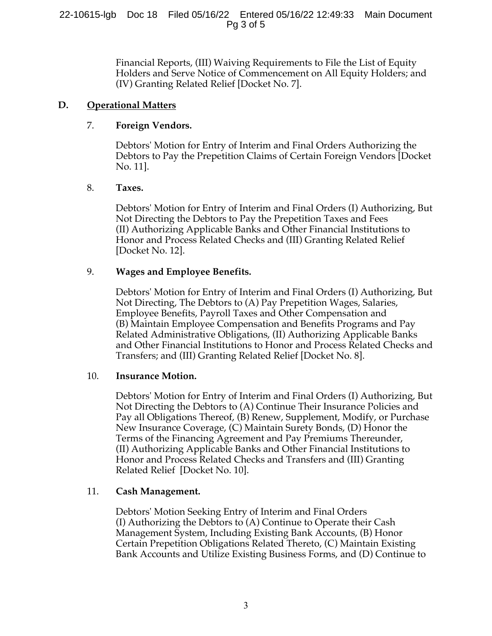Financial Reports, (III) Waiving Requirements to File the List of Equity Holders and Serve Notice of Commencement on All Equity Holders; and (IV) Granting Related Relief [Docket No. 7].

# **D. Operational Matters**

# 7. **Foreign Vendors.**

Debtors' Motion for Entry of Interim and Final Orders Authorizing the Debtors to Pay the Prepetition Claims of Certain Foreign Vendors [Docket No. 11].

## 8. **Taxes.**

Debtors' Motion for Entry of Interim and Final Orders (I) Authorizing, But Not Directing the Debtors to Pay the Prepetition Taxes and Fees (II) Authorizing Applicable Banks and Other Financial Institutions to Honor and Process Related Checks and (III) Granting Related Relief [Docket No. 12].

# 9. **Wages and Employee Benefits.**

Debtors' Motion for Entry of Interim and Final Orders (I) Authorizing, But Not Directing, The Debtors to (A) Pay Prepetition Wages, Salaries, Employee Benefits, Payroll Taxes and Other Compensation and (B) Maintain Employee Compensation and Benefits Programs and Pay Related Administrative Obligations, (II) Authorizing Applicable Banks and Other Financial Institutions to Honor and Process Related Checks and Transfers; and (III) Granting Related Relief [Docket No. 8].

### 10. **Insurance Motion.**

Debtors' Motion for Entry of Interim and Final Orders (I) Authorizing, But Not Directing the Debtors to (A) Continue Their Insurance Policies and Pay all Obligations Thereof, (B) Renew, Supplement, Modify, or Purchase New Insurance Coverage, (C) Maintain Surety Bonds, (D) Honor the Terms of the Financing Agreement and Pay Premiums Thereunder, (II) Authorizing Applicable Banks and Other Financial Institutions to Honor and Process Related Checks and Transfers and (III) Granting Related Relief [Docket No. 10].

### 11. **Cash Management.**

Debtors' Motion Seeking Entry of Interim and Final Orders (I) Authorizing the Debtors to (A) Continue to Operate their Cash Management System, Including Existing Bank Accounts, (B) Honor Certain Prepetition Obligations Related Thereto, (C) Maintain Existing Bank Accounts and Utilize Existing Business Forms, and (D) Continue to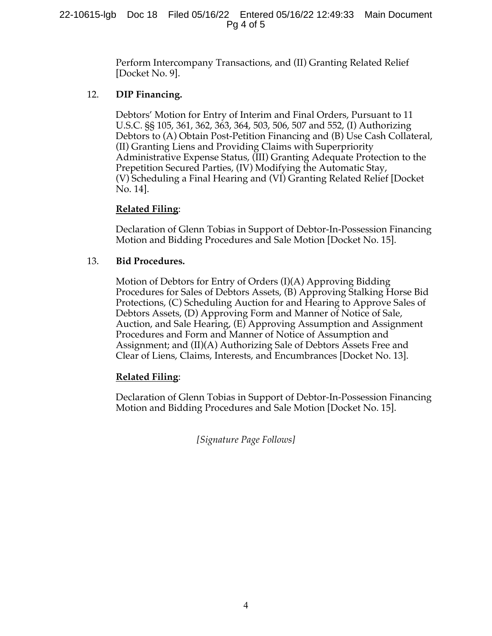Perform Intercompany Transactions, and (II) Granting Related Relief [Docket No. 9].

# 12. **DIP Financing.**

Debtors' Motion for Entry of Interim and Final Orders, Pursuant to 11 U.S.C. §§ 105, 361, 362, 363, 364, 503, 506, 507 and 552, (I) Authorizing Debtors to (A) Obtain Post-Petition Financing and (B) Use Cash Collateral, (II) Granting Liens and Providing Claims with Superpriority Administrative Expense Status, (III) Granting Adequate Protection to the Prepetition Secured Parties, (IV) Modifying the Automatic Stay, (V) Scheduling a Final Hearing and (VI) Granting Related Relief [Docket No. 14].

# **Related Filing**:

Declaration of Glenn Tobias in Support of Debtor-In-Possession Financing Motion and Bidding Procedures and Sale Motion [Docket No. 15].

# 13. **Bid Procedures.**

Motion of Debtors for Entry of Orders (I)(A) Approving Bidding Procedures for Sales of Debtors Assets, (B) Approving Stalking Horse Bid Protections, (C) Scheduling Auction for and Hearing to Approve Sales of Debtors Assets, (D) Approving Form and Manner of Notice of Sale, Auction, and Sale Hearing, (E) Approving Assumption and Assignment Procedures and Form and Manner of Notice of Assumption and Assignment; and (II)(A) Authorizing Sale of Debtors Assets Free and Clear of Liens, Claims, Interests, and Encumbrances [Docket No. 13].

# **Related Filing**:

Declaration of Glenn Tobias in Support of Debtor-In-Possession Financing Motion and Bidding Procedures and Sale Motion [Docket No. 15].

*[Signature Page Follows]*